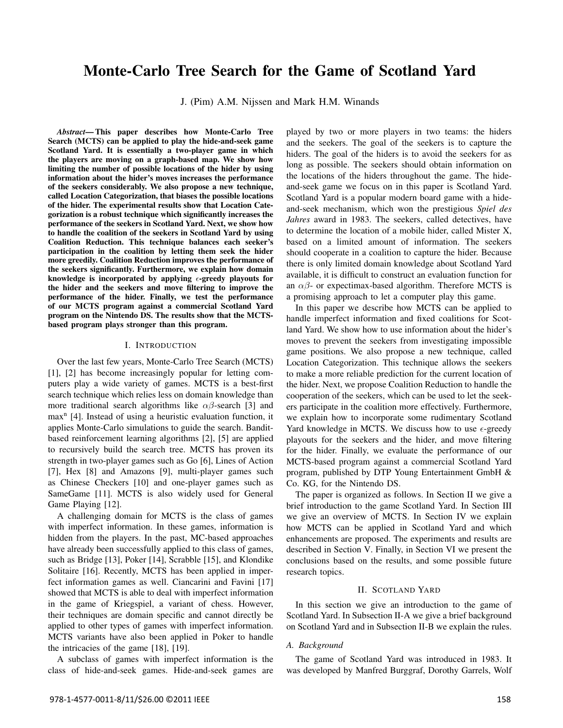# Monte-Carlo Tree Search for the Game of Scotland Yard

J. (Pim) A.M. Nijssen and Mark H.M. Winands

*Abstract*— This paper describes how Monte-Carlo Tree Search (MCTS) can be applied to play the hide-and-seek game Scotland Yard. It is essentially a two-player game in which the players are moving on a graph-based map. We show how limiting the number of possible locations of the hider by using information about the hider's moves increases the performance of the seekers considerably. We also propose a new technique, called Location Categorization, that biases the possible locations of the hider. The experimental results show that Location Categorization is a robust technique which significantly increases the performance of the seekers in Scotland Yard. Next, we show how to handle the coalition of the seekers in Scotland Yard by using Coalition Reduction. This technique balances each seeker's participation in the coalition by letting them seek the hider more greedily. Coalition Reduction improves the performance of the seekers significantly. Furthermore, we explain how domain knowledge is incorporated by applying  $\epsilon$ -greedy playouts for the hider and the seekers and move filtering to improve the performance of the hider. Finally, we test the performance of our MCTS program against a commercial Scotland Yard program on the Nintendo DS. The results show that the MCTSbased program plays stronger than this program.

## I. INTRODUCTION

Over the last few years, Monte-Carlo Tree Search (MCTS) [1], [2] has become increasingly popular for letting computers play a wide variety of games. MCTS is a best-first search technique which relies less on domain knowledge than more traditional search algorithms like  $\alpha\beta$ -search [3] and max<sup>n</sup> [4]. Instead of using a heuristic evaluation function, it applies Monte-Carlo simulations to guide the search. Banditbased reinforcement learning algorithms [2], [5] are applied to recursively build the search tree. MCTS has proven its strength in two-player games such as Go [6], Lines of Action [7], Hex [8] and Amazons [9], multi-player games such as Chinese Checkers [10] and one-player games such as SameGame [11]. MCTS is also widely used for General Game Playing [12].

A challenging domain for MCTS is the class of games with imperfect information. In these games, information is hidden from the players. In the past, MC-based approaches have already been successfully applied to this class of games, such as Bridge [13], Poker [14], Scrabble [15], and Klondike Solitaire [16]. Recently, MCTS has been applied in imperfect information games as well. Ciancarini and Favini [17] showed that MCTS is able to deal with imperfect information in the game of Kriegspiel, a variant of chess. However, their techniques are domain specific and cannot directly be applied to other types of games with imperfect information. MCTS variants have also been applied in Poker to handle the intricacies of the game [18], [19].

A subclass of games with imperfect information is the class of hide-and-seek games. Hide-and-seek games are

played by two or more players in two teams: the hiders and the seekers. The goal of the seekers is to capture the hiders. The goal of the hiders is to avoid the seekers for as long as possible. The seekers should obtain information on the locations of the hiders throughout the game. The hideand-seek game we focus on in this paper is Scotland Yard. Scotland Yard is a popular modern board game with a hideand-seek mechanism, which won the prestigious *Spiel des Jahres* award in 1983. The seekers, called detectives, have to determine the location of a mobile hider, called Mister X, based on a limited amount of information. The seekers should cooperate in a coalition to capture the hider. Because there is only limited domain knowledge about Scotland Yard available, it is difficult to construct an evaluation function for an  $\alpha\beta$ - or expectimax-based algorithm. Therefore MCTS is a promising approach to let a computer play this game.

In this paper we describe how MCTS can be applied to handle imperfect information and fixed coalitions for Scotland Yard. We show how to use information about the hider's moves to prevent the seekers from investigating impossible game positions. We also propose a new technique, called Location Categorization. This technique allows the seekers to make a more reliable prediction for the current location of the hider. Next, we propose Coalition Reduction to handle the cooperation of the seekers, which can be used to let the seekers participate in the coalition more effectively. Furthermore, we explain how to incorporate some rudimentary Scotland Yard knowledge in MCTS. We discuss how to use  $\epsilon$ -greedy playouts for the seekers and the hider, and move filtering for the hider. Finally, we evaluate the performance of our MCTS-based program against a commercial Scotland Yard program, published by DTP Young Entertainment GmbH & Co. KG, for the Nintendo DS.

The paper is organized as follows. In Section II we give a brief introduction to the game Scotland Yard. In Section III we give an overview of MCTS. In Section IV we explain how MCTS can be applied in Scotland Yard and which enhancements are proposed. The experiments and results are described in Section V. Finally, in Section VI we present the conclusions based on the results, and some possible future research topics.

## II. SCOTLAND YARD

In this section we give an introduction to the game of Scotland Yard. In Subsection II-A we give a brief background on Scotland Yard and in Subsection II-B we explain the rules.

#### *A. Background*

The game of Scotland Yard was introduced in 1983. It was developed by Manfred Burggraf, Dorothy Garrels, Wolf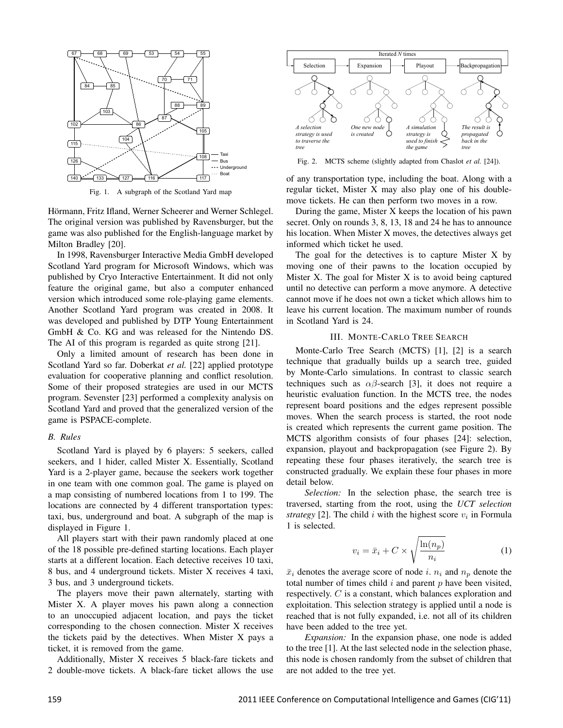

Fig. 1. A subgraph of the Scotland Yard map

Hörmann, Fritz Ifland, Werner Scheerer and Werner Schlegel. The original version was published by Ravensburger, but the game was also published for the English-language market by Milton Bradley [20].

In 1998, Ravensburger Interactive Media GmbH developed Scotland Yard program for Microsoft Windows, which was published by Cryo Interactive Entertainment. It did not only feature the original game, but also a computer enhanced version which introduced some role-playing game elements. Another Scotland Yard program was created in 2008. It was developed and published by DTP Young Entertainment GmbH & Co. KG and was released for the Nintendo DS. The AI of this program is regarded as quite strong [21].

Only a limited amount of research has been done in Scotland Yard so far. Doberkat *et al.* [22] applied prototype evaluation for cooperative planning and conflict resolution. Some of their proposed strategies are used in our MCTS program. Sevenster [23] performed a complexity analysis on Scotland Yard and proved that the generalized version of the game is PSPACE-complete.

## *B. Rules*

Scotland Yard is played by 6 players: 5 seekers, called seekers, and 1 hider, called Mister X. Essentially, Scotland Yard is a 2-player game, because the seekers work together in one team with one common goal. The game is played on a map consisting of numbered locations from 1 to 199. The locations are connected by 4 different transportation types: taxi, bus, underground and boat. A subgraph of the map is displayed in Figure 1.

All players start with their pawn randomly placed at one of the 18 possible pre-defined starting locations. Each player starts at a different location. Each detective receives 10 taxi, 8 bus, and 4 underground tickets. Mister X receives 4 taxi, 3 bus, and 3 underground tickets.

The players move their pawn alternately, starting with Mister X. A player moves his pawn along a connection to an unoccupied adjacent location, and pays the ticket corresponding to the chosen connection. Mister X receives the tickets paid by the detectives. When Mister X pays a ticket, it is removed from the game.

Additionally, Mister X receives 5 black-fare tickets and 2 double-move tickets. A black-fare ticket allows the use



Fig. 2. MCTS scheme (slightly adapted from Chaslot *et al.* [24]).

of any transportation type, including the boat. Along with a regular ticket, Mister X may also play one of his doublemove tickets. He can then perform two moves in a row.

During the game, Mister X keeps the location of his pawn secret. Only on rounds 3, 8, 13, 18 and 24 he has to announce his location. When Mister X moves, the detectives always get informed which ticket he used.

The goal for the detectives is to capture Mister  $X$  by moving one of their pawns to the location occupied by Mister X. The goal for Mister X is to avoid being captured until no detective can perform a move anymore. A detective cannot move if he does not own a ticket which allows him to leave his current location. The maximum number of rounds in Scotland Yard is 24.

#### III. MONTE-CARLO TREE SEARCH

Monte-Carlo Tree Search (MCTS) [1], [2] is a search technique that gradually builds up a search tree, guided by Monte-Carlo simulations. In contrast to classic search techniques such as  $\alpha\beta$ -search [3], it does not require a heuristic evaluation function. In the MCTS tree, the nodes represent board positions and the edges represent possible moves. When the search process is started, the root node is created which represents the current game position. The MCTS algorithm consists of four phases [24]: selection, expansion, playout and backpropagation (see Figure 2). By repeating these four phases iteratively, the search tree is constructed gradually. We explain these four phases in more detail below.

*Selection:* In the selection phase, the search tree is traversed, starting from the root, using the *UCT selection strategy* [2]. The child  $i$  with the highest score  $v_i$  in Formula 1 is selected.

$$
v_i = \bar{x}_i + C \times \sqrt{\frac{\ln(n_p)}{n_i}} \tag{1}
$$

 $\bar{x}_i$  denotes the average score of node i.  $n_i$  and  $n_p$  denote the total number of times child  $i$  and parent  $p$  have been visited, respectively. C is a constant, which balances exploration and exploitation. This selection strategy is applied until a node is reached that is not fully expanded, i.e. not all of its children have been added to the tree yet.

*Expansion:* In the expansion phase, one node is added to the tree [1]. At the last selected node in the selection phase, this node is chosen randomly from the subset of children that are not added to the tree yet.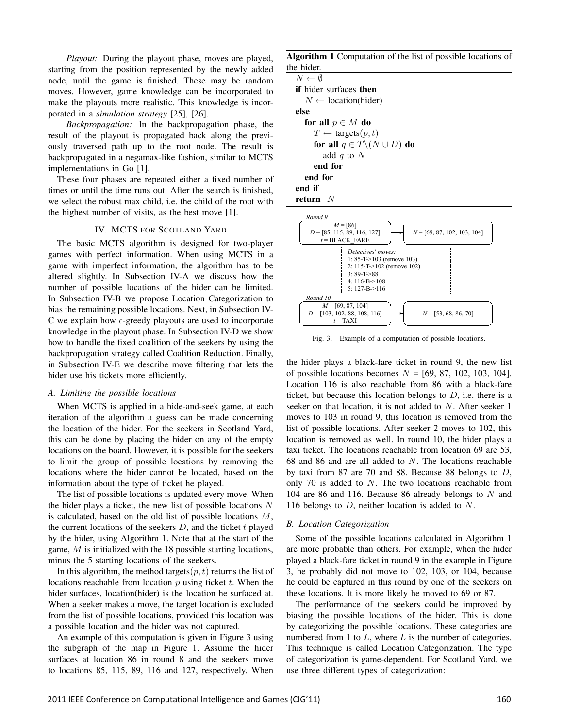*Playout:* During the playout phase, moves are played, starting from the position represented by the newly added node, until the game is finished. These may be random moves. However, game knowledge can be incorporated to make the playouts more realistic. This knowledge is incorporated in a *simulation strategy* [25], [26].

*Backpropagation:* In the backpropagation phase, the result of the playout is propagated back along the previously traversed path up to the root node. The result is backpropagated in a negamax-like fashion, similar to MCTS implementations in Go [1].

These four phases are repeated either a fixed number of times or until the time runs out. After the search is finished, we select the robust max child, i.e. the child of the root with the highest number of visits, as the best move [1].

# IV. MCTS FOR SCOTLAND YARD

The basic MCTS algorithm is designed for two-player games with perfect information. When using MCTS in a game with imperfect information, the algorithm has to be altered slightly. In Subsection IV-A we discuss how the number of possible locations of the hider can be limited. In Subsection IV-B we propose Location Categorization to bias the remaining possible locations. Next, in Subsection IV-C we explain how  $\epsilon$ -greedy playouts are used to incorporate knowledge in the playout phase. In Subsection IV-D we show how to handle the fixed coalition of the seekers by using the backpropagation strategy called Coalition Reduction. Finally, in Subsection IV-E we describe move filtering that lets the hider use his tickets more efficiently.

## *A. Limiting the possible locations*

When MCTS is applied in a hide-and-seek game, at each iteration of the algorithm a guess can be made concerning the location of the hider. For the seekers in Scotland Yard, this can be done by placing the hider on any of the empty locations on the board. However, it is possible for the seekers to limit the group of possible locations by removing the locations where the hider cannot be located, based on the information about the type of ticket he played.

The list of possible locations is updated every move. When the hider plays a ticket, the new list of possible locations  $N$ is calculated, based on the old list of possible locations  $M$ , the current locations of the seekers  $D$ , and the ticket  $t$  played by the hider, using Algorithm 1. Note that at the start of the game,  $M$  is initialized with the 18 possible starting locations, minus the 5 starting locations of the seekers.

In this algorithm, the method targets $(p, t)$  returns the list of locations reachable from location  $p$  using ticket  $t$ . When the hider surfaces, location(hider) is the location he surfaced at. When a seeker makes a move, the target location is excluded from the list of possible locations, provided this location was a possible location and the hider was not captured.

An example of this computation is given in Figure 3 using the subgraph of the map in Figure 1. Assume the hider surfaces at location 86 in round 8 and the seekers move to locations 85, 115, 89, 116 and 127, respectively. When

|            | Algorithm 1 Computation of the list of possible locations of |  |  |  |
|------------|--------------------------------------------------------------|--|--|--|
| the hider. |                                                              |  |  |  |

| $N \leftarrow \emptyset$                  |
|-------------------------------------------|
| <b>if</b> hider surfaces <b>then</b>      |
| $N \leftarrow$ location(hider)            |
| else                                      |
| for all $p \in M$ do                      |
| $T \leftarrow$ targets $(p, t)$           |
| for all $q \in T \setminus (N \cup D)$ do |
| add $q$ to $N$                            |
| end for                                   |
| end for                                   |
| end if                                    |
| return $\,N$                              |
|                                           |



Fig. 3. Example of a computation of possible locations.

the hider plays a black-fare ticket in round 9, the new list of possible locations becomes  $N = [69, 87, 102, 103, 104]$ . Location 116 is also reachable from 86 with a black-fare ticket, but because this location belongs to  $D$ , i.e. there is a seeker on that location, it is not added to N. After seeker 1 moves to 103 in round 9, this location is removed from the list of possible locations. After seeker 2 moves to 102, this location is removed as well. In round 10, the hider plays a taxi ticket. The locations reachable from location 69 are 53, 68 and 86 and are all added to N. The locations reachable by taxi from 87 are 70 and 88. Because 88 belongs to D, only 70 is added to  $N$ . The two locations reachable from 104 are 86 and 116. Because 86 already belongs to  $N$  and 116 belongs to  $D$ , neither location is added to  $N$ .

#### *B. Location Categorization*

Some of the possible locations calculated in Algorithm 1 are more probable than others. For example, when the hider played a black-fare ticket in round 9 in the example in Figure 3, he probably did not move to 102, 103, or 104, because he could be captured in this round by one of the seekers on these locations. It is more likely he moved to 69 or 87.

The performance of the seekers could be improved by biasing the possible locations of the hider. This is done by categorizing the possible locations. These categories are numbered from 1 to  $L$ , where  $L$  is the number of categories. This technique is called Location Categorization. The type of categorization is game-dependent. For Scotland Yard, we use three different types of categorization: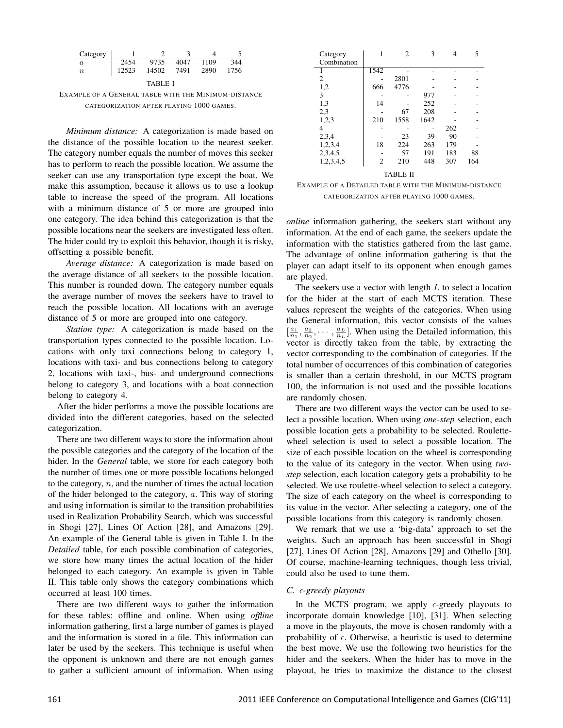

CATEGORIZATION AFTER PLAYING 1000 GAMES.

*Minimum distance:* A categorization is made based on the distance of the possible location to the nearest seeker. The category number equals the number of moves this seeker has to perform to reach the possible location. We assume the seeker can use any transportation type except the boat. We make this assumption, because it allows us to use a lookup table to increase the speed of the program. All locations with a minimum distance of 5 or more are grouped into one category. The idea behind this categorization is that the possible locations near the seekers are investigated less often. The hider could try to exploit this behavior, though it is risky, offsetting a possible benefit.

*Average distance:* A categorization is made based on the average distance of all seekers to the possible location. This number is rounded down. The category number equals the average number of moves the seekers have to travel to reach the possible location. All locations with an average distance of 5 or more are grouped into one category.

*Station type:* A categorization is made based on the transportation types connected to the possible location. Locations with only taxi connections belong to category 1, locations with taxi- and bus connections belong to category 2, locations with taxi-, bus- and underground connections belong to category 3, and locations with a boat connection belong to category 4.

After the hider performs a move the possible locations are divided into the different categories, based on the selected categorization.

There are two different ways to store the information about the possible categories and the category of the location of the hider. In the *General* table, we store for each category both the number of times one or more possible locations belonged to the category,  $n$ , and the number of times the actual location of the hider belonged to the category,  $a$ . This way of storing and using information is similar to the transition probabilities used in Realization Probability Search, which was successful in Shogi [27], Lines Of Action [28], and Amazons [29]. An example of the General table is given in Table I. In the *Detailed* table, for each possible combination of categories, we store how many times the actual location of the hider belonged to each category. An example is given in Table II. This table only shows the category combinations which occurred at least 100 times.

There are two different ways to gather the information for these tables: offline and online. When using *offline* information gathering, first a large number of games is played and the information is stored in a file. This information can later be used by the seekers. This technique is useful when the opponent is unknown and there are not enough games to gather a sufficient amount of information. When using

| Category    | 1    | 2    | 3    | 4   |     |  |  |
|-------------|------|------|------|-----|-----|--|--|
| Combination |      |      |      |     |     |  |  |
|             | 1542 |      |      |     |     |  |  |
| 2           |      | 2801 |      |     |     |  |  |
| 1,2         | 666  | 4776 |      |     |     |  |  |
| 3           |      |      | 977  |     |     |  |  |
| 1,3         | 14   |      | 252  |     |     |  |  |
| 2,3         |      | 67   | 208  |     |     |  |  |
| 1,2,3       | 210  | 1558 | 1642 |     |     |  |  |
| 4           |      |      |      | 262 |     |  |  |
| 2,3,4       |      | 23   | 39   | 90  |     |  |  |
| 1,2,3,4     | 18   | 224  | 263  | 179 |     |  |  |
| 2,3,4,5     |      | 57   | 191  | 183 | 88  |  |  |
| 1,2,3,4,5   | 2    | 210  | 448  | 307 | 164 |  |  |
| TABLE II    |      |      |      |     |     |  |  |

EXAMPLE OF A DETAILED TABLE WITH THE MINIMUM-DISTANCE CATEGORIZATION AFTER PLAYING 1000 GAMES.

*online* information gathering, the seekers start without any information. At the end of each game, the seekers update the information with the statistics gathered from the last game. The advantage of online information gathering is that the player can adapt itself to its opponent when enough games are played.

The seekers use a vector with length  $L$  to select a location for the hider at the start of each MCTS iteration. These values represent the weights of the categories. When using the General information, this vector consists of the values  $\left[\frac{a_1}{n_1}, \frac{a_2}{n_2}, \cdots, \frac{a_L}{n_L}\right]$ . When using the Detailed information, this vector is directly taken from the table, by extracting the vector corresponding to the combination of categories. If the total number of occurrences of this combination of categories is smaller than a certain threshold, in our MCTS program 100, the information is not used and the possible locations are randomly chosen.

There are two different ways the vector can be used to select a possible location. When using *one-step* selection, each possible location gets a probability to be selected. Roulettewheel selection is used to select a possible location. The size of each possible location on the wheel is corresponding to the value of its category in the vector. When using *twostep* selection, each location category gets a probability to be selected. We use roulette-wheel selection to select a category. The size of each category on the wheel is corresponding to its value in the vector. After selecting a category, one of the possible locations from this category is randomly chosen.

We remark that we use a 'big-data' approach to set the weights. Such an approach has been successful in Shogi [27], Lines Of Action [28], Amazons [29] and Othello [30]. Of course, machine-learning techniques, though less trivial, could also be used to tune them.

# *C. -greedy playouts*

In the MCTS program, we apply  $\epsilon$ -greedy playouts to incorporate domain knowledge [10], [31]. When selecting a move in the playouts, the move is chosen randomly with a probability of  $\epsilon$ . Otherwise, a heuristic is used to determine the best move. We use the following two heuristics for the hider and the seekers. When the hider has to move in the playout, he tries to maximize the distance to the closest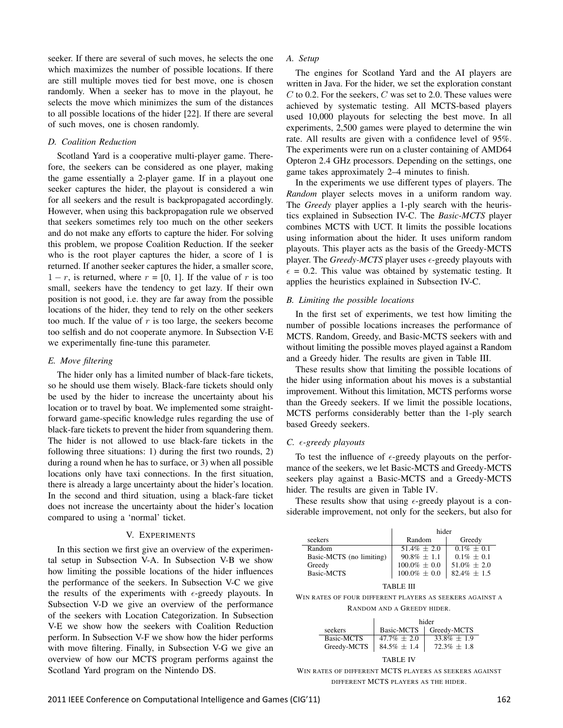seeker. If there are several of such moves, he selects the one which maximizes the number of possible locations. If there are still multiple moves tied for best move, one is chosen randomly. When a seeker has to move in the playout, he selects the move which minimizes the sum of the distances to all possible locations of the hider [22]. If there are several of such moves, one is chosen randomly.

## *D. Coalition Reduction*

Scotland Yard is a cooperative multi-player game. Therefore, the seekers can be considered as one player, making the game essentially a 2-player game. If in a playout one seeker captures the hider, the playout is considered a win for all seekers and the result is backpropagated accordingly. However, when using this backpropagation rule we observed that seekers sometimes rely too much on the other seekers and do not make any efforts to capture the hider. For solving this problem, we propose Coalition Reduction. If the seeker who is the root player captures the hider, a score of 1 is returned. If another seeker captures the hider, a smaller score,  $1 - r$ , is returned, where  $r = [0, 1]$ . If the value of r is too small, seekers have the tendency to get lazy. If their own position is not good, i.e. they are far away from the possible locations of the hider, they tend to rely on the other seekers too much. If the value of  $r$  is too large, the seekers become too selfish and do not cooperate anymore. In Subsection V-E we experimentally fine-tune this parameter.

## *E. Move filtering*

The hider only has a limited number of black-fare tickets, so he should use them wisely. Black-fare tickets should only be used by the hider to increase the uncertainty about his location or to travel by boat. We implemented some straightforward game-specific knowledge rules regarding the use of black-fare tickets to prevent the hider from squandering them. The hider is not allowed to use black-fare tickets in the following three situations: 1) during the first two rounds, 2) during a round when he has to surface, or 3) when all possible locations only have taxi connections. In the first situation, there is already a large uncertainty about the hider's location. In the second and third situation, using a black-fare ticket does not increase the uncertainty about the hider's location compared to using a 'normal' ticket.

#### V. EXPERIMENTS

In this section we first give an overview of the experimental setup in Subsection V-A. In Subsection V-B we show how limiting the possible locations of the hider influences the performance of the seekers. In Subsection V-C we give the results of the experiments with  $\epsilon$ -greedy playouts. In Subsection V-D we give an overview of the performance of the seekers with Location Categorization. In Subsection V-E we show how the seekers with Coalition Reduction perform. In Subsection V-F we show how the hider performs with move filtering. Finally, in Subsection V-G we give an overview of how our MCTS program performs against the Scotland Yard program on the Nintendo DS.

#### *A. Setup*

The engines for Scotland Yard and the AI players are written in Java. For the hider, we set the exploration constant  $C$  to 0.2. For the seekers,  $C$  was set to 2.0. These values were achieved by systematic testing. All MCTS-based players used 10,000 playouts for selecting the best move. In all experiments, 2,500 games were played to determine the win rate. All results are given with a confidence level of 95%. The experiments were run on a cluster containing of AMD64 Opteron 2.4 GHz processors. Depending on the settings, one game takes approximately 2–4 minutes to finish.

In the experiments we use different types of players. The *Random* player selects moves in a uniform random way. The *Greedy* player applies a 1-ply search with the heuristics explained in Subsection IV-C. The *Basic-MCTS* player combines MCTS with UCT. It limits the possible locations using information about the hider. It uses uniform random playouts. This player acts as the basis of the Greedy-MCTS player. The *Greedy-MCTS* player uses  $\epsilon$ -greedy playouts with  $\epsilon = 0.2$ . This value was obtained by systematic testing. It applies the heuristics explained in Subsection IV-C.

## *B. Limiting the possible locations*

In the first set of experiments, we test how limiting the number of possible locations increases the performance of MCTS. Random, Greedy, and Basic-MCTS seekers with and without limiting the possible moves played against a Random and a Greedy hider. The results are given in Table III.

These results show that limiting the possible locations of the hider using information about his moves is a substantial improvement. Without this limitation, MCTS performs worse than the Greedy seekers. If we limit the possible locations, MCTS performs considerably better than the 1-ply search based Greedy seekers.

#### *C. -greedy playouts*

To test the influence of  $\epsilon$ -greedy playouts on the performance of the seekers, we let Basic-MCTS and Greedy-MCTS seekers play against a Basic-MCTS and a Greedy-MCTS hider. The results are given in Table IV.

These results show that using  $\epsilon$ -greedy playout is a considerable improvement, not only for the seekers, but also for

|                          | hider             |                  |
|--------------------------|-------------------|------------------|
| seekers                  | Random            | Greedy           |
| Random                   | $51.4\% \pm 2.0$  | $0.1\% + 0.1$    |
| Basic-MCTS (no limiting) | $90.8\% + 1.1$    | $0.1\% + 0.1$    |
| Greedy                   | $100.0\% \pm 0.0$ | $51.0\% + 2.0$   |
| Basic-MCTS               | $100.0\% \pm 0.0$ | $82.4\% \pm 1.5$ |
|                          |                   |                  |

TABLE III

WIN RATES OF FOUR DIFFERENT PLAYERS AS SEEKERS AGAINST A RANDOM AND A GREEDY HIDER.

|             | hider            |                |  |
|-------------|------------------|----------------|--|
| seekers     | Basic-MCTS       | Greedy-MCTS    |  |
| Basic-MCTS  | $47.7\% + 2.0$   | $33.8\% + 1.9$ |  |
| Greedy-MCTS | $84.5\% \pm 1.4$ | $72.3\% + 1.8$ |  |

WIN RATES OF DIFFERENT MCTS PLAYERS AS SEEKERS AGAINST DIFFERENT MCTS PLAYERS AS THE HIDER.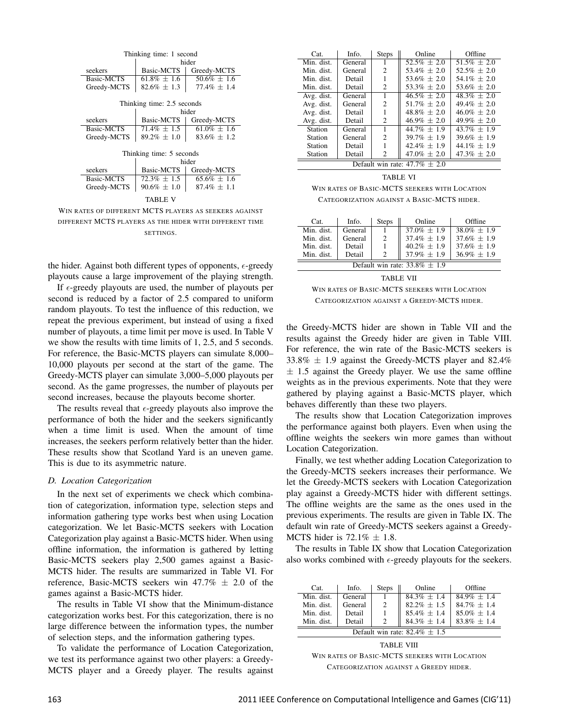| Thinking time: 1 second                                |             |                            |                  |  |  |
|--------------------------------------------------------|-------------|----------------------------|------------------|--|--|
|                                                        | hider       |                            |                  |  |  |
|                                                        | seekers     | <b>Basic-MCTS</b>          | Greedy-MCTS      |  |  |
|                                                        | Basic-MCTS  | $61.8\% \pm 1.6$           | $50.6\% \pm 1.6$ |  |  |
|                                                        | Greedy-MCTS | $82.6\% \pm 1.3$           | $77.4\% \pm 1.4$ |  |  |
|                                                        |             |                            |                  |  |  |
|                                                        |             | Thinking time: 2.5 seconds |                  |  |  |
|                                                        |             |                            | hider            |  |  |
|                                                        | seekers     | Basic-MCTS                 | Greedy-MCTS      |  |  |
|                                                        | Basic-MCTS  | $71.4\% \pm 1.5$           | $61.0\% \pm 1.6$ |  |  |
|                                                        | Greedy-MCTS | $89.2\% \pm 1.0$           | $83.6\% \pm 1.2$ |  |  |
|                                                        |             |                            |                  |  |  |
|                                                        |             | Thinking time: 5 seconds   |                  |  |  |
|                                                        |             |                            | hider            |  |  |
|                                                        | seekers     | Basic-MCTS                 | Greedy-MCTS      |  |  |
|                                                        | Basic-MCTS  | $72.3\% \pm 1.5$           | $65.6\% \pm 1.6$ |  |  |
|                                                        | Greedy-MCTS | $90.6\% \pm 1.0$           | $87.4\% \pm 1.1$ |  |  |
| TABLE V                                                |             |                            |                  |  |  |
| WIN RATES OF DIFFERENT MCTS PLAYERS AS SEEKERS AGAINST |             |                            |                  |  |  |

DIFFERENT MCTS PLAYERS AS THE HIDER WITH DIFFERENT TIME SETTINGS.

the hider. Against both different types of opponents,  $\epsilon$ -greedy playouts cause a large improvement of the playing strength.

If  $\epsilon$ -greedy playouts are used, the number of playouts per second is reduced by a factor of 2.5 compared to uniform random playouts. To test the influence of this reduction, we repeat the previous experiment, but instead of using a fixed number of playouts, a time limit per move is used. In Table V we show the results with time limits of 1, 2.5, and 5 seconds. For reference, the Basic-MCTS players can simulate 8,000– 10,000 playouts per second at the start of the game. The Greedy-MCTS player can simulate 3,000–5,000 playouts per second. As the game progresses, the number of playouts per second increases, because the playouts become shorter.

The results reveal that  $\epsilon$ -greedy playouts also improve the performance of both the hider and the seekers significantly when a time limit is used. When the amount of time increases, the seekers perform relatively better than the hider. These results show that Scotland Yard is an uneven game. This is due to its asymmetric nature.

# *D. Location Categorization*

In the next set of experiments we check which combination of categorization, information type, selection steps and information gathering type works best when using Location categorization. We let Basic-MCTS seekers with Location Categorization play against a Basic-MCTS hider. When using offline information, the information is gathered by letting Basic-MCTS seekers play 2,500 games against a Basic-MCTS hider. The results are summarized in Table VI. For reference, Basic-MCTS seekers win  $47.7\% \pm 2.0$  of the games against a Basic-MCTS hider.

The results in Table VI show that the Minimum-distance categorization works best. For this categorization, there is no large difference between the information types, the number of selection steps, and the information gathering types.

To validate the performance of Location Categorization, we test its performance against two other players: a Greedy-MCTS player and a Greedy player. The results against

| Cat.                               | Info.   | <b>Steps</b>   | Online           | Offline          |
|------------------------------------|---------|----------------|------------------|------------------|
| Min. dist.                         | General | 1              | $52.5\% \pm 2.0$ | $51.5\% \pm 2.0$ |
| Min. dist.                         | General | 2              | $53.4\% \pm 2.0$ | $52.5\% + 2.0$   |
| Min. dist.                         | Detail  | 1              | $53.6\% + 2.0$   | $54.1\% + 2.0$   |
| Min. dist.                         | Detail  | 2              | $53.3\% + 2.0$   | $53.6\% + 2.0$   |
| Avg. dist.                         | General |                | $46.5\% \pm 2.0$ | $48.3\% + 2.0$   |
| Avg. dist.                         | General | $\overline{c}$ | $51.7\% + 2.0$   | $49.4\% + 2.0$   |
| Avg. dist.                         | Detail  |                | $48.8\% + 2.0$   | $46.0\% + 2.0$   |
| Avg. dist.                         | Detail  | $\overline{c}$ | $46.9\% + 2.0$   | $49.9\% + 2.0$   |
| Station                            | General | 1              | $44.7\% + 1.9$   | $43.7\% + 1.9$   |
| Station                            | General | $\overline{c}$ | $39.7\% \pm 1.9$ | $39.6\% + 1.9$   |
| Station                            | Detail  |                | $42.4\% + 1.9$   | $44.1\% + 1.9$   |
| Station                            | Detail  | 2              | $47.0\% + 2.0$   | $47.3\% \pm 2.0$ |
| Default win rate: $47.7\% \pm 2.0$ |         |                |                  |                  |

TABLE VI

WIN RATES OF BASIC-MCTS SEEKERS WITH LOCATION CATEGORIZATION AGAINST A BASIC-MCTS HIDER.

| Cat.                               | Info.   | <b>Steps</b> | Online           | Offline        |
|------------------------------------|---------|--------------|------------------|----------------|
| Min. dist.                         | General |              | $37.0\% \pm 1.9$ | $38.0\% + 1.9$ |
| Min. dist.                         | General | 2            | $37.4\% \pm 1.9$ | $37.6\% + 1.9$ |
| Min. dist.                         | Detail  |              | $40.2\% \pm 1.9$ | $37.6\% + 1.9$ |
| Min. dist.                         | Detail  | 2            | $37.9\% \pm 1.9$ | $36.9\% + 1.9$ |
| Default win rate: $33.8\% \pm 1.9$ |         |              |                  |                |

#### TABLE VII

WIN RATES OF BASIC-MCTS SEEKERS WITH LOCATION CATEGORIZATION AGAINST A GREEDY-MCTS HIDER.

the Greedy-MCTS hider are shown in Table VII and the results against the Greedy hider are given in Table VIII. For reference, the win rate of the Basic-MCTS seekers is 33.8%  $\pm$  1.9 against the Greedy-MCTS player and 82.4%  $\pm$  1.5 against the Greedy player. We use the same offline weights as in the previous experiments. Note that they were gathered by playing against a Basic-MCTS player, which behaves differently than these two players.

The results show that Location Categorization improves the performance against both players. Even when using the offline weights the seekers win more games than without Location Categorization.

Finally, we test whether adding Location Categorization to the Greedy-MCTS seekers increases their performance. We let the Greedy-MCTS seekers with Location Categorization play against a Greedy-MCTS hider with different settings. The offline weights are the same as the ones used in the previous experiments. The results are given in Table IX. The default win rate of Greedy-MCTS seekers against a Greedy-MCTS hider is  $72.1\% \pm 1.8$ .

The results in Table IX show that Location Categorization also works combined with  $\epsilon$ -greedy playouts for the seekers.

| Cat.                             | Info.   | <b>Steps</b> | Online           | Offline        |
|----------------------------------|---------|--------------|------------------|----------------|
| Min. dist.                       | General |              | $84.3\% \pm 1.4$ | $84.9\% + 1.4$ |
| Min. dist.                       | General | 2            | $82.2\% + 1.5$   | $84.7\% + 1.4$ |
| Min. dist.                       | Detail  |              | $85.4\% + 1.4$   | $85.0\% + 1.4$ |
| Min. dist.                       | Detail  |              | $84.3\% \pm 1.4$ | $83.8\% + 1.4$ |
| Default win rate: $82.4\% + 1.5$ |         |              |                  |                |

|  | TABLE VIII |
|--|------------|
|  |            |

WIN RATES OF BASIC-MCTS SEEKERS WITH LOCATION CATEGORIZATION AGAINST A GREEDY HIDER.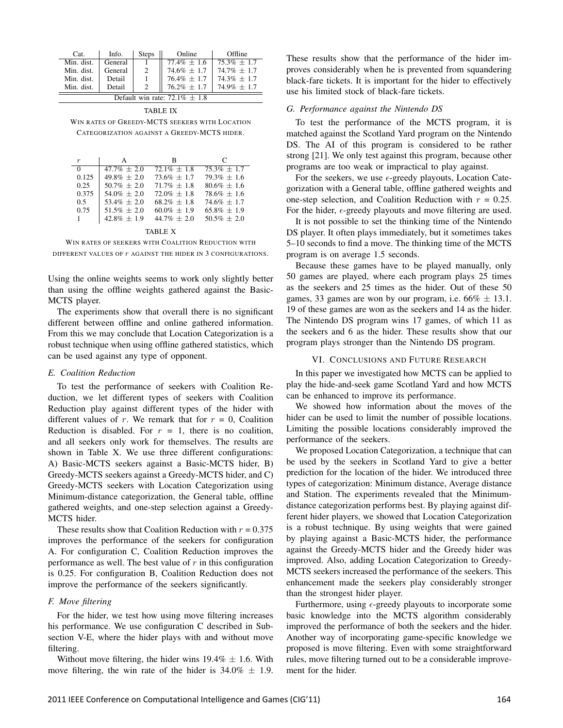| Cat.                             | Info.   | <b>Steps</b> | Online           | Offline          |  |
|----------------------------------|---------|--------------|------------------|------------------|--|
| Min. dist.                       | General |              | $77.4\% \pm 1.6$ | $75.3\% + 1.7$   |  |
| Min. dist.                       | General |              | $74.6\% \pm 1.7$ | $74.7\% + 1.7$   |  |
| Min. dist.                       | Detail  |              | $76.4\% \pm 1.7$ | $74.3\% + 1.7$   |  |
| Min. dist.                       | Detail  |              | $76.2\% \pm 1.7$ | $74.9\% \pm 1.7$ |  |
| Default win rate: $72.1\% + 1.8$ |         |              |                  |                  |  |

TABLE IX

WIN RATES OF GREEDY-MCTS SEEKERS WITH LOCATION CATEGORIZATION AGAINST A GREEDY-MCTS HIDER.

| $\boldsymbol{r}$ | A                | в              | C              |
|------------------|------------------|----------------|----------------|
| 0                | $47.7\% \pm 2.0$ | $72.1\% + 1.8$ | $75.3\% + 1.7$ |
| 0.125            | $49.8\% + 2.0$   | $73.6\% + 1.7$ | $79.3\% + 1.6$ |
| 0.25             | $50.7\% + 2.0$   | $71.7\% + 1.8$ | $80.6\% + 1.6$ |
| 0.375            | $54.0\% + 2.0$   | $72.0\% + 1.8$ | $78.6\% + 1.6$ |
| 0.5              | $53.4\% + 2.0$   | $68.2\% + 1.8$ | $74.6\% + 1.7$ |
| 0.75             | $51.5\% + 2.0$   | $60.0\% + 1.9$ | $65.8\% + 1.9$ |
| 1                | $42.8\% \pm 1.9$ | $44.7\% + 2.0$ | $50.5\% + 2.0$ |
| TABLE X          |                  |                |                |

WIN RATES OF SEEKERS WITH COALITION REDUCTION WITH DIFFERENT VALUES OF  $r$  against the HIDER IN 3 CONFIGURATIONS.

Using the online weights seems to work only slightly better than using the offline weights gathered against the Basic-MCTS player.

The experiments show that overall there is no significant different between offline and online gathered information. From this we may conclude that Location Categorization is a robust technique when using offline gathered statistics, which can be used against any type of opponent.

# *E. Coalition Reduction*

To test the performance of seekers with Coalition Reduction, we let different types of seekers with Coalition Reduction play against different types of the hider with different values of r. We remark that for  $r = 0$ , Coalition Reduction is disabled. For  $r = 1$ , there is no coalition, and all seekers only work for themselves. The results are shown in Table X. We use three different configurations: A) Basic-MCTS seekers against a Basic-MCTS hider, B) Greedy-MCTS seekers against a Greedy-MCTS hider, and C) Greedy-MCTS seekers with Location Categorization using Minimum-distance categorization, the General table, offline gathered weights, and one-step selection against a Greedy-MCTS hider.

These results show that Coalition Reduction with  $r = 0.375$ improves the performance of the seekers for configuration A. For configuration C, Coalition Reduction improves the performance as well. The best value of  $r$  in this configuration is 0.25. For configuration B, Coalition Reduction does not improve the performance of the seekers significantly.

# *F. Move filtering*

For the hider, we test how using move filtering increases his performance. We use configuration C described in Subsection V-E, where the hider plays with and without move filtering.

Without move filtering, the hider wins  $19.4\% \pm 1.6$ . With move filtering, the win rate of the hider is  $34.0\% \pm 1.9$ . These results show that the performance of the hider improves considerably when he is prevented from squandering black-fare tickets. It is important for the hider to effectively use his limited stock of black-fare tickets.

# *G. Performance against the Nintendo DS*

To test the performance of the MCTS program, it is matched against the Scotland Yard program on the Nintendo DS. The AI of this program is considered to be rather strong [21]. We only test against this program, because other programs are too weak or impractical to play against.

For the seekers, we use  $\epsilon$ -greedy playouts, Location Categorization with a General table, offline gathered weights and one-step selection, and Coalition Reduction with  $r = 0.25$ . For the hider,  $\epsilon$ -greedy playouts and move filtering are used.

It is not possible to set the thinking time of the Nintendo DS player. It often plays immediately, but it sometimes takes 5–10 seconds to find a move. The thinking time of the MCTS program is on average 1.5 seconds.

Because these games have to be played manually, only 50 games are played, where each program plays 25 times as the seekers and 25 times as the hider. Out of these 50 games, 33 games are won by our program, i.e.  $66\% \pm 13.1$ . 19 of these games are won as the seekers and 14 as the hider. The Nintendo DS program wins 17 games, of which 11 as the seekers and 6 as the hider. These results show that our program plays stronger than the Nintendo DS program.

# VI. CONCLUSIONS AND FUTURE RESEARCH

In this paper we investigated how MCTS can be applied to play the hide-and-seek game Scotland Yard and how MCTS can be enhanced to improve its performance.

We showed how information about the moves of the hider can be used to limit the number of possible locations. Limiting the possible locations considerably improved the performance of the seekers.

We proposed Location Categorization, a technique that can be used by the seekers in Scotland Yard to give a better prediction for the location of the hider. We introduced three types of categorization: Minimum distance, Average distance and Station. The experiments revealed that the Minimumdistance categorization performs best. By playing against different hider players, we showed that Location Categorization is a robust technique. By using weights that were gained by playing against a Basic-MCTS hider, the performance against the Greedy-MCTS hider and the Greedy hider was improved. Also, adding Location Categorization to Greedy-MCTS seekers increased the performance of the seekers. This enhancement made the seekers play considerably stronger than the strongest hider player.

Furthermore, using  $\epsilon$ -greedy playouts to incorporate some basic knowledge into the MCTS algorithm considerably improved the performance of both the seekers and the hider. Another way of incorporating game-specific knowledge we proposed is move filtering. Even with some straightforward rules, move filtering turned out to be a considerable improvement for the hider.